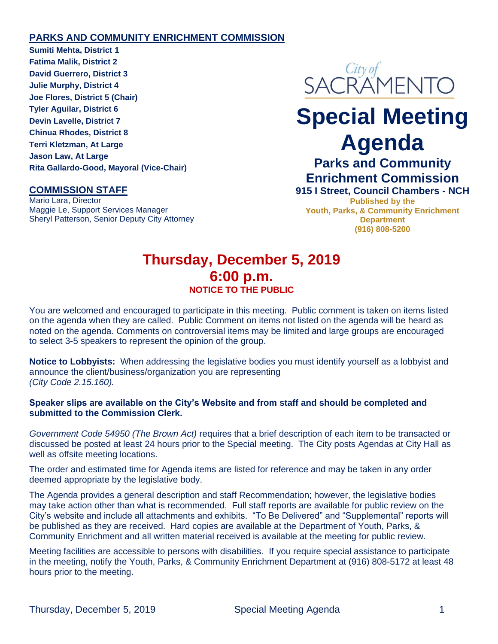### **PARKS AND COMMUNITY ENRICHMENT COMMISSION**

**Sumiti Mehta, District 1 Fatima Malik, District 2 David Guerrero, District 3 Julie Murphy, District 4 Joe Flores, District 5 (Chair) Tyler Aguilar, District 6 Devin Lavelle, District 7 Chinua Rhodes, District 8 Terri Kletzman, At Large Jason Law, At Large Rita Gallardo-Good, Mayoral (Vice-Chair)**

## **COMMISSION STAFF**

Mario Lara, Director Maggie Le, Support Services Manager Sheryl Patterson, Senior Deputy City Attorney



# **Special Meeting Agenda**

# **Parks and Community Enrichment Commission**

**915 I Street, Council Chambers - NCH Published by the Youth, Parks, & Community Enrichment Department (916) 808-5200**

## **Thursday, December 5, 2019 6:00 p.m. NOTICE TO THE PUBLIC**

You are welcomed and encouraged to participate in this meeting. Public comment is taken on items listed on the agenda when they are called. Public Comment on items not listed on the agenda will be heard as noted on the agenda. Comments on controversial items may be limited and large groups are encouraged to select 3-5 speakers to represent the opinion of the group.

**Notice to Lobbyists:** When addressing the legislative bodies you must identify yourself as a lobbyist and announce the client/business/organization you are representing *(City Code 2.15.160).*

#### **Speaker slips are available on the City's Website and from staff and should be completed and submitted to the Commission Clerk.**

*Government Code 54950 (The Brown Act)* requires that a brief description of each item to be transacted or discussed be posted at least 24 hours prior to the Special meeting. The City posts Agendas at City Hall as well as offsite meeting locations.

The order and estimated time for Agenda items are listed for reference and may be taken in any order deemed appropriate by the legislative body.

The Agenda provides a general description and staff Recommendation; however, the legislative bodies may take action other than what is recommended. Full staff reports are available for public review on the City's website and include all attachments and exhibits. "To Be Delivered" and "Supplemental" reports will be published as they are received. Hard copies are available at the Department of Youth, Parks, & Community Enrichment and all written material received is available at the meeting for public review.

Meeting facilities are accessible to persons with disabilities. If you require special assistance to participate in the meeting, notify the Youth, Parks, & Community Enrichment Department at (916) 808-5172 at least 48 hours prior to the meeting.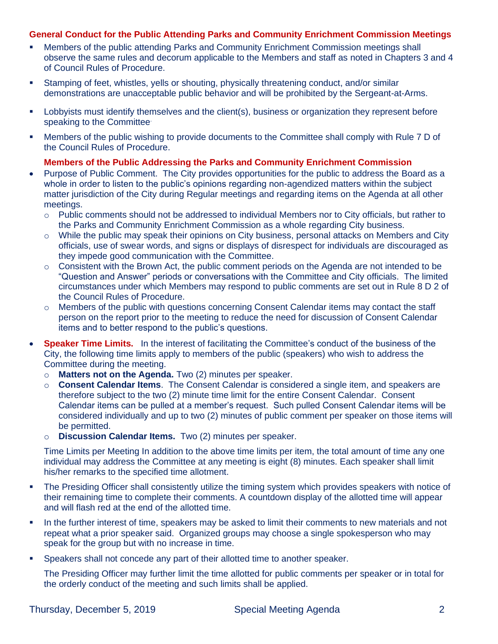#### **General Conduct for the Public Attending Parks and Community Enrichment Commission Meetings**

- **Members of the public attending Parks and Community Enrichment Commission meetings shall** observe the same rules and decorum applicable to the Members and staff as noted in Chapters 3 and 4 of Council Rules of Procedure.
- **EXECT** Stamping of feet, whistles, yells or shouting, physically threatening conduct, and/or similar demonstrations are unacceptable public behavior and will be prohibited by the Sergeant-at-Arms.
- Lobbyists must identify themselves and the client(s), business or organization they represent before speaking to the Committee.
- Members of the public wishing to provide documents to the Committee shall comply with Rule 7 D of the Council Rules of Procedure.

#### **Members of the Public Addressing the Parks and Community Enrichment Commission**

- Purpose of Public Comment. The City provides opportunities for the public to address the Board as a whole in order to listen to the public's opinions regarding non-agendized matters within the subject matter jurisdiction of the City during Regular meetings and regarding items on the Agenda at all other meetings.
	- $\circ$  Public comments should not be addressed to individual Members nor to City officials, but rather to the Parks and Community Enrichment Commission as a whole regarding City business.
	- $\circ$  While the public may speak their opinions on City business, personal attacks on Members and City officials, use of swear words, and signs or displays of disrespect for individuals are discouraged as they impede good communication with the Committee.
	- $\circ$  Consistent with the Brown Act, the public comment periods on the Agenda are not intended to be "Question and Answer" periods or conversations with the Committee and City officials. The limited circumstances under which Members may respond to public comments are set out in Rule 8 D 2 of the Council Rules of Procedure.
	- o Members of the public with questions concerning Consent Calendar items may contact the staff person on the report prior to the meeting to reduce the need for discussion of Consent Calendar items and to better respond to the public's questions.
- **Speaker Time Limits.** In the interest of facilitating the Committee's conduct of the business of the City, the following time limits apply to members of the public (speakers) who wish to address the Committee during the meeting.
	- o **Matters not on the Agenda.** Two (2) minutes per speaker.
	- o **Consent Calendar Items**. The Consent Calendar is considered a single item, and speakers are therefore subject to the two (2) minute time limit for the entire Consent Calendar. Consent Calendar items can be pulled at a member's request. Such pulled Consent Calendar items will be considered individually and up to two (2) minutes of public comment per speaker on those items will be permitted.
	- o **Discussion Calendar Items.** Two (2) minutes per speaker.

Time Limits per Meeting In addition to the above time limits per item, the total amount of time any one individual may address the Committee at any meeting is eight (8) minutes. Each speaker shall limit his/her remarks to the specified time allotment.

- The Presiding Officer shall consistently utilize the timing system which provides speakers with notice of their remaining time to complete their comments. A countdown display of the allotted time will appear and will flash red at the end of the allotted time.
- In the further interest of time, speakers may be asked to limit their comments to new materials and not repeat what a prior speaker said. Organized groups may choose a single spokesperson who may speak for the group but with no increase in time.
- **•** Speakers shall not concede any part of their allotted time to another speaker.

The Presiding Officer may further limit the time allotted for public comments per speaker or in total for the orderly conduct of the meeting and such limits shall be applied.